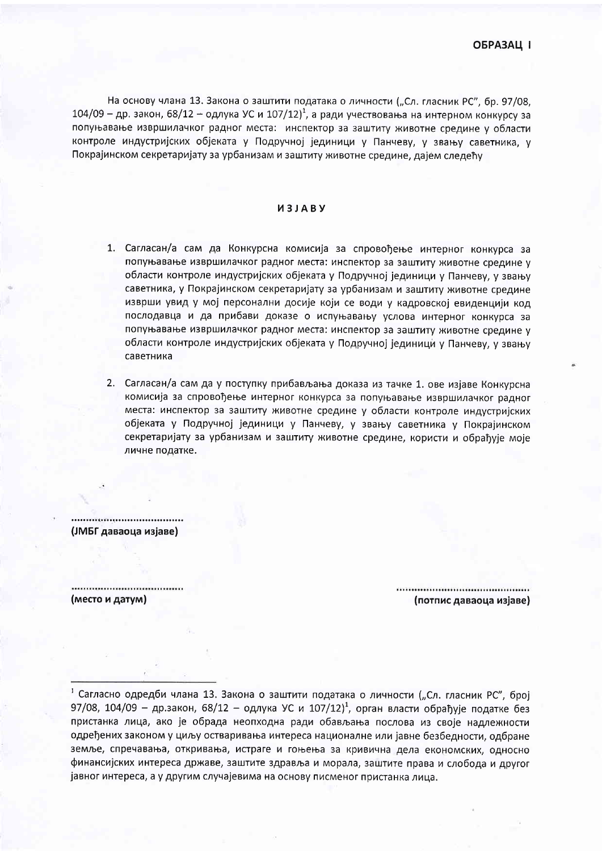На основу члана 13. Закона о заштити података о личности ("Сл. гласник РС", бр. 97/08, 104/09 – др. закон, 68/12 – одлука УС и 107/12)<sup>1</sup>, а ради учествовања на интерном конкурсу за попуњавање извршилачког радног места: инспектор за заштиту животне средине у области контроле индустриіских обіеката у Подручноі іединици у Панчеву, у звању саветника, у Покрајинском секретаријату за урбанизам и заштиту животне средине, дајем следећу

## *<u>U3JABY</u>*

- 1. Сагласан/а сам да Конкурсна комисија за спровођење интерног конкурса за попуњавање извршилачког радног места: инспектор за заштиту животне средине у области контроле индустријских објеката у Подручној јединици у Панчеву, у звању саветника, у Покрајинском секретаријату за урбанизам и заштиту животне средине изврши увид у мој персонални досије који се води у кадровској евиденцији код послодавца и да прибави доказе о испуњавању услова интерног конкурса за попуњавање извршилачког радног места: инспектор за заштиту животне средине у области контроле индустријских објеката у Подручној јединици у Панчеву, у звању саветника
- 2. Сагласан/а сам да у поступку прибављања доказа из тачке 1. ове изјаве Конкурсна комисија за спровођење интерног конкурса за попуњавање извршилачког радног места: инспектор за заштиту животне средине у области контроле индустријских објеката у Подручној јединици у Панчеву, у звању саветника у Покрајинском секретаријату за урбанизам и заштиту животне средине, користи и обрађује моје личне податке.

(ЈМБГ даваоца изјаве)

(место и датум)

## (потпис даваоца изјаве)

сагласно одредби члана 13. Закона о заштити података о личности ("Сл. гласник РС", број 97/08, 104/09 - др.закон, 68/12 - одлука УС и 107/12)<sup>1</sup>, орган власти обрађује податке без пристанка лица, ако је обрада неопходна ради обављања послова из своје надлежности одређених законом у циљу остваривања интереса националне или јавне безбедности, одбране земље, спречавања, откривања, истраге и гоњења за кривична дела економских, односно финансијских интереса државе, заштите здравља и морала, заштите права и слобода и другог јавног интереса, а у другим случајевима на основу писменог пристанка лица.